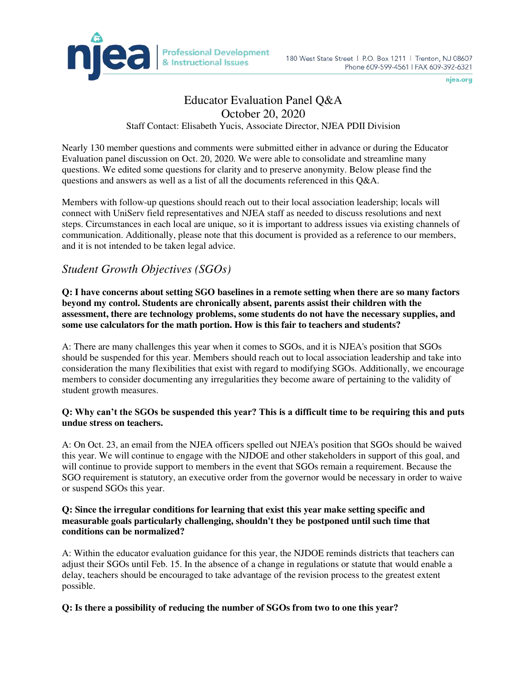

# Educator Evaluation Panel Q&A October 20, 2020 Staff Contact: Elisabeth Yucis, Associate Director, NJEA PDII Division

Nearly 130 member questions and comments were submitted either in advance or during the Educator Evaluation panel discussion on Oct. 20, 2020. We were able to consolidate and streamline many questions. We edited some questions for clarity and to preserve anonymity. Below please find the

questions and answers as well as a list of all the documents referenced in this Q&A.

Members with follow-up questions should reach out to their local association leadership; locals will connect with UniServ field representatives and NJEA staff as needed to discuss resolutions and next steps. Circumstances in each local are unique, so it is important to address issues via existing channels of communication. Additionally, please note that this document is provided as a reference to our members, and it is not intended to be taken legal advice.

# *Student Growth Objectives (SGOs)*

**Q: I have concerns about setting SGO baselines in a remote setting when there are so many factors beyond my control. Students are chronically absent, parents assist their children with the assessment, there are technology problems, some students do not have the necessary supplies, and some use calculators for the math portion. How is this fair to teachers and students?** 

A: There are many challenges this year when it comes to SGOs, and it is NJEA's position that SGOs should be suspended for this year. Members should reach out to local association leadership and take into consideration the many flexibilities that exist with regard to modifying SGOs. Additionally, we encourage members to consider documenting any irregularities they become aware of pertaining to the validity of student growth measures.

### **Q: Why can't the SGOs be suspended this year? This is a difficult time to be requiring this and puts undue stress on teachers.**

A: On Oct. 23, an email from the NJEA officers spelled out NJEA's position that SGOs should be waived this year. We will continue to engage with the NJDOE and other stakeholders in support of this goal, and will continue to provide support to members in the event that SGOs remain a requirement. Because the SGO requirement is statutory, an executive order from the governor would be necessary in order to waive or suspend SGOs this year.

### **Q: Since the irregular conditions for learning that exist this year make setting specific and measurable goals particularly challenging, shouldn't they be postponed until such time that conditions can be normalized?**

A: Within the educator evaluation guidance for this year, the NJDOE reminds districts that teachers can adjust their SGOs until Feb. 15. In the absence of a change in regulations or statute that would enable a delay, teachers should be encouraged to take advantage of the revision process to the greatest extent possible.

# **Q: Is there a possibility of reducing the number of SGOs from two to one this year?**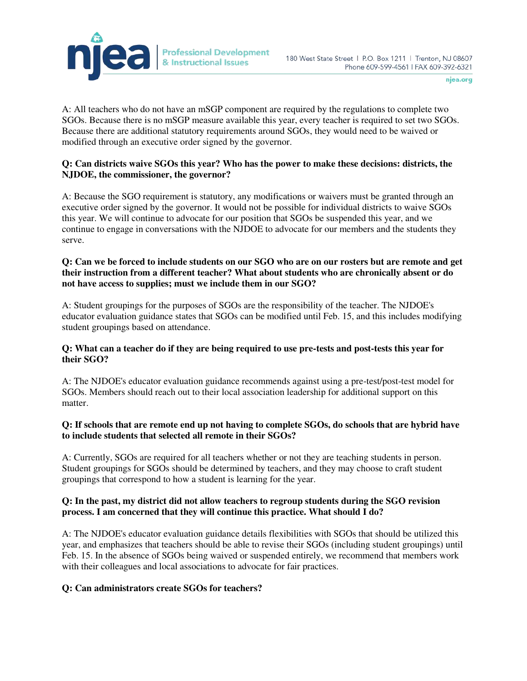

A: All teachers who do not have an mSGP component are required by the regulations to complete two SGOs. Because there is no mSGP measure available this year, every teacher is required to set two SGOs. Because there are additional statutory requirements around SGOs, they would need to be waived or modified through an executive order signed by the governor.

### **Q: Can districts waive SGOs this year? Who has the power to make these decisions: districts, the NJDOE, the commissioner, the governor?**

A: Because the SGO requirement is statutory, any modifications or waivers must be granted through an executive order signed by the governor. It would not be possible for individual districts to waive SGOs this year. We will continue to advocate for our position that SGOs be suspended this year, and we continue to engage in conversations with the NJDOE to advocate for our members and the students they serve.

#### **Q: Can we be forced to include students on our SGO who are on our rosters but are remote and get their instruction from a different teacher? What about students who are chronically absent or do not have access to supplies; must we include them in our SGO?**

A: Student groupings for the purposes of SGOs are the responsibility of the teacher. The NJDOE's educator evaluation guidance states that SGOs can be modified until Feb. 15, and this includes modifying student groupings based on attendance.

### **Q: What can a teacher do if they are being required to use pre-tests and post-tests this year for their SGO?**

A: The NJDOE's educator evaluation guidance recommends against using a pre-test/post-test model for SGOs. Members should reach out to their local association leadership for additional support on this matter.

### **Q: If schools that are remote end up not having to complete SGOs, do schools that are hybrid have to include students that selected all remote in their SGOs?**

A: Currently, SGOs are required for all teachers whether or not they are teaching students in person. Student groupings for SGOs should be determined by teachers, and they may choose to craft student groupings that correspond to how a student is learning for the year.

### **Q: In the past, my district did not allow teachers to regroup students during the SGO revision process. I am concerned that they will continue this practice. What should I do?**

A: The NJDOE's educator evaluation guidance details flexibilities with SGOs that should be utilized this year, and emphasizes that teachers should be able to revise their SGOs (including student groupings) until Feb. 15. In the absence of SGOs being waived or suspended entirely, we recommend that members work with their colleagues and local associations to advocate for fair practices.

# **Q: Can administrators create SGOs for teachers?**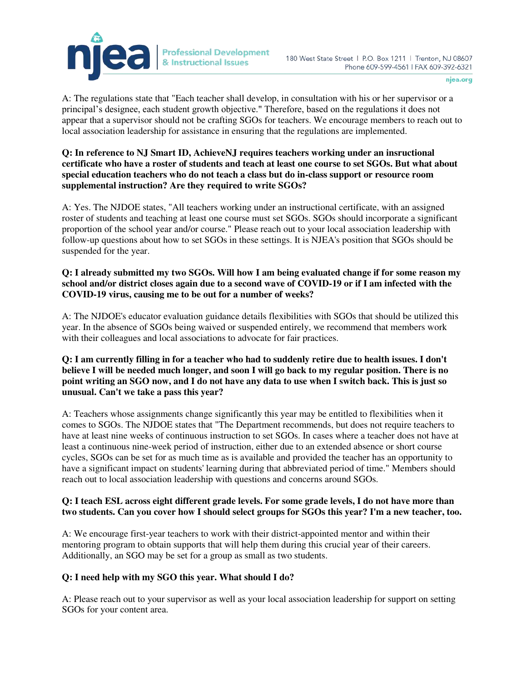

A: The regulations state that "Each teacher shall develop, in consultation with his or her supervisor or a principal's designee, each student growth objective." Therefore, based on the regulations it does not appear that a supervisor should not be crafting SGOs for teachers. We encourage members to reach out to local association leadership for assistance in ensuring that the regulations are implemented.

### **Q: In reference to NJ Smart ID, AchieveNJ requires teachers working under an insructional certificate who have a roster of students and teach at least one course to set SGOs. But what about special education teachers who do not teach a class but do in-class support or resource room supplemental instruction? Are they required to write SGOs?**

A: Yes. The NJDOE states, "All teachers working under an instructional certificate, with an assigned roster of students and teaching at least one course must set SGOs. SGOs should incorporate a significant proportion of the school year and/or course." Please reach out to your local association leadership with follow-up questions about how to set SGOs in these settings. It is NJEA's position that SGOs should be suspended for the year.

### **Q: I already submitted my two SGOs. Will how I am being evaluated change if for some reason my school and/or district closes again due to a second wave of COVID-19 or if I am infected with the COVID-19 virus, causing me to be out for a number of weeks?**

A: The NJDOE's educator evaluation guidance details flexibilities with SGOs that should be utilized this year. In the absence of SGOs being waived or suspended entirely, we recommend that members work with their colleagues and local associations to advocate for fair practices.

## **Q: I am currently filling in for a teacher who had to suddenly retire due to health issues. I don't believe I will be needed much longer, and soon I will go back to my regular position. There is no point writing an SGO now, and I do not have any data to use when I switch back. This is just so unusual. Can't we take a pass this year?**

A: Teachers whose assignments change significantly this year may be entitled to flexibilities when it comes to SGOs. The NJDOE states that "The Department recommends, but does not require teachers to have at least nine weeks of continuous instruction to set SGOs. In cases where a teacher does not have at least a continuous nine-week period of instruction, either due to an extended absence or short course cycles, SGOs can be set for as much time as is available and provided the teacher has an opportunity to have a significant impact on students' learning during that abbreviated period of time." Members should reach out to local association leadership with questions and concerns around SGOs.

# **Q: I teach ESL across eight different grade levels. For some grade levels, I do not have more than two students. Can you cover how I should select groups for SGOs this year? I'm a new teacher, too.**

A: We encourage first-year teachers to work with their district-appointed mentor and within their mentoring program to obtain supports that will help them during this crucial year of their careers. Additionally, an SGO may be set for a group as small as two students.

# **Q: I need help with my SGO this year. What should I do?**

A: Please reach out to your supervisor as well as your local association leadership for support on setting SGOs for your content area.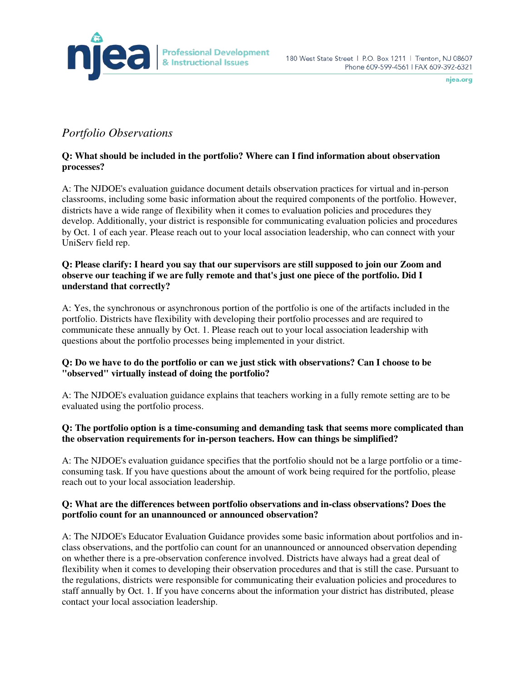

# *Portfolio Observations*

## **Q: What should be included in the portfolio? Where can I find information about observation processes?**

A: The NJDOE's evaluation guidance document details observation practices for virtual and in-person classrooms, including some basic information about the required components of the portfolio. However, districts have a wide range of flexibility when it comes to evaluation policies and procedures they develop. Additionally, your district is responsible for communicating evaluation policies and procedures by Oct. 1 of each year. Please reach out to your local association leadership, who can connect with your UniServ field rep.

### **Q: Please clarify: I heard you say that our supervisors are still supposed to join our Zoom and observe our teaching if we are fully remote and that's just one piece of the portfolio. Did I understand that correctly?**

A: Yes, the synchronous or asynchronous portion of the portfolio is one of the artifacts included in the portfolio. Districts have flexibility with developing their portfolio processes and are required to communicate these annually by Oct. 1. Please reach out to your local association leadership with questions about the portfolio processes being implemented in your district.

# **Q: Do we have to do the portfolio or can we just stick with observations? Can I choose to be "observed" virtually instead of doing the portfolio?**

A: The NJDOE's evaluation guidance explains that teachers working in a fully remote setting are to be evaluated using the portfolio process.

# **Q: The portfolio option is a time-consuming and demanding task that seems more complicated than the observation requirements for in-person teachers. How can things be simplified?**

A: The NJDOE's evaluation guidance specifies that the portfolio should not be a large portfolio or a timeconsuming task. If you have questions about the amount of work being required for the portfolio, please reach out to your local association leadership.

### **Q: What are the differences between portfolio observations and in-class observations? Does the portfolio count for an unannounced or announced observation?**

A: The NJDOE's Educator Evaluation Guidance provides some basic information about portfolios and inclass observations, and the portfolio can count for an unannounced or announced observation depending on whether there is a pre-observation conference involved. Districts have always had a great deal of flexibility when it comes to developing their observation procedures and that is still the case. Pursuant to the regulations, districts were responsible for communicating their evaluation policies and procedures to staff annually by Oct. 1. If you have concerns about the information your district has distributed, please contact your local association leadership.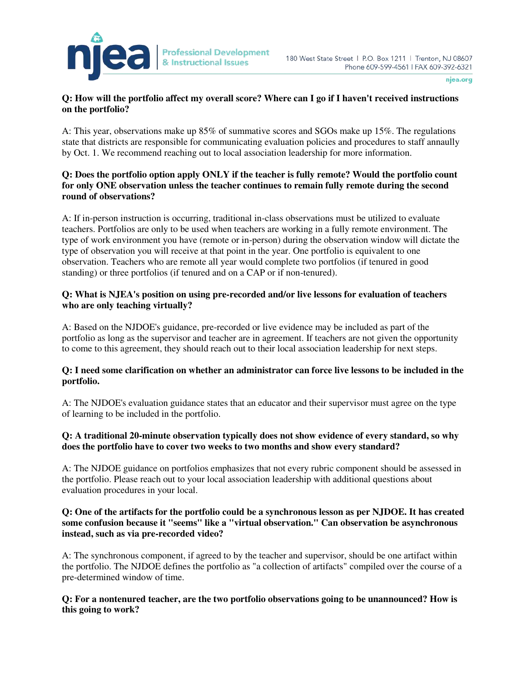

### **Q: How will the portfolio affect my overall score? Where can I go if I haven't received instructions on the portfolio?**

A: This year, observations make up 85% of summative scores and SGOs make up 15%. The regulations state that districts are responsible for communicating evaluation policies and procedures to staff annaully by Oct. 1. We recommend reaching out to local association leadership for more information.

### **Q: Does the portfolio option apply ONLY if the teacher is fully remote? Would the portfolio count for only ONE observation unless the teacher continues to remain fully remote during the second round of observations?**

A: If in-person instruction is occurring, traditional in-class observations must be utilized to evaluate teachers. Portfolios are only to be used when teachers are working in a fully remote environment. The type of work environment you have (remote or in-person) during the observation window will dictate the type of observation you will receive at that point in the year. One portfolio is equivalent to one observation. Teachers who are remote all year would complete two portfolios (if tenured in good standing) or three portfolios (if tenured and on a CAP or if non-tenured).

### **Q: What is NJEA's position on using pre-recorded and/or live lessons for evaluation of teachers who are only teaching virtually?**

A: Based on the NJDOE's guidance, pre-recorded or live evidence may be included as part of the portfolio as long as the supervisor and teacher are in agreement. If teachers are not given the opportunity to come to this agreement, they should reach out to their local association leadership for next steps.

### **Q: I need some clarification on whether an administrator can force live lessons to be included in the portfolio.**

A: The NJDOE's evaluation guidance states that an educator and their supervisor must agree on the type of learning to be included in the portfolio.

### **Q: A traditional 20-minute observation typically does not show evidence of every standard, so why does the portfolio have to cover two weeks to two months and show every standard?**

A: The NJDOE guidance on portfolios emphasizes that not every rubric component should be assessed in the portfolio. Please reach out to your local association leadership with additional questions about evaluation procedures in your local.

### **Q: One of the artifacts for the portfolio could be a synchronous lesson as per NJDOE. It has created some confusion because it "seems" like a "virtual observation." Can observation be asynchronous instead, such as via pre-recorded video?**

A: The synchronous component, if agreed to by the teacher and supervisor, should be one artifact within the portfolio. The NJDOE defines the portfolio as "a collection of artifacts" compiled over the course of a pre-determined window of time.

### **Q: For a nontenured teacher, are the two portfolio observations going to be unannounced? How is this going to work?**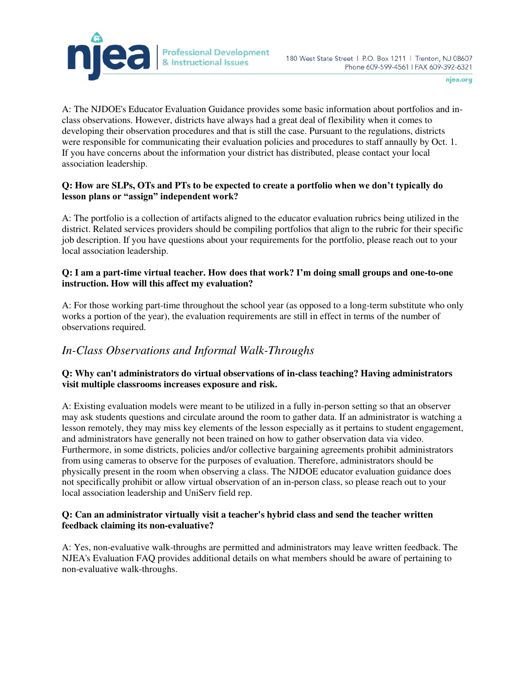

A: The NJDOE's Educator Evaluation Guidance provides some basic information about portfolios and inclass observations. However, districts have always had a great deal of flexibility when it comes to developing their observation procedures and that is still the case. Pursuant to the regulations, districts were responsible for communicating their evaluation policies and procedures to staff annaully by Oct. 1. If you have concerns about the information your district has distributed, please contact your local association leadership.

### **Q: How are SLPs, OTs and PTs to be expected to create a portfolio when we don't typically do lesson plans or "assign" independent work?**

A: The portfolio is a collection of artifacts aligned to the educator evaluation rubrics being utilized in the district. Related services providers should be compiling portfolios that align to the rubric for their specific job description. If you have questions about your requirements for the portfolio, please reach out to your local association leadership.

### **Q: I am a part-time virtual teacher. How does that work? I'm doing small groups and one-to-one instruction. How will this affect my evaluation?**

A: For those working part-time throughout the school year (as opposed to a long-term substitute who only works a portion of the year), the evaluation requirements are still in effect in terms of the number of observations required.

# *In-Class Observations and Informal Walk-Throughs*

### **Q: Why can't administrators do virtual observations of in-class teaching? Having administrators visit multiple classrooms increases exposure and risk.**

A: Existing evaluation models were meant to be utilized in a fully in-person setting so that an observer may ask students questions and circulate around the room to gather data. If an administrator is watching a lesson remotely, they may miss key elements of the lesson especially as it pertains to student engagement, and administrators have generally not been trained on how to gather observation data via video. Furthermore, in some districts, policies and/or collective bargaining agreements prohibit administrators from using cameras to observe for the purposes of evaluation. Therefore, administrators should be physically present in the room when observing a class. The NJDOE educator evaluation guidance does not specifically prohibit or allow virtual observation of an in-person class, so please reach out to your local association leadership and UniServ field rep.

### **Q: Can an administrator virtually visit a teacher's hybrid class and send the teacher written feedback claiming its non-evaluative?**

A: Yes, non-evaluative walk-throughs are permitted and administrators may leave written feedback. The NJEA's Evaluation FAQ provides additional details on what members should be aware of pertaining to non-evaluative walk-throughs.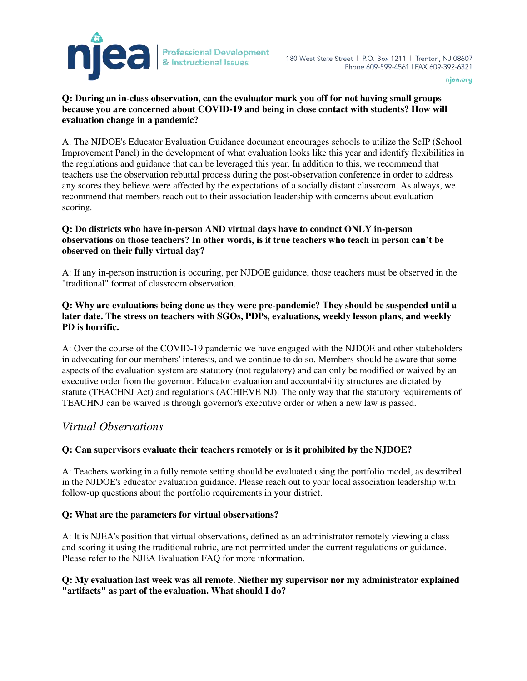

### **Q: During an in-class observation, can the evaluator mark you off for not having small groups because you are concerned about COVID-19 and being in close contact with students? How will evaluation change in a pandemic?**

A: The NJDOE's Educator Evaluation Guidance document encourages schools to utilize the ScIP (School Improvement Panel) in the development of what evaluation looks like this year and identify flexibilities in the regulations and guidance that can be leveraged this year. In addition to this, we recommend that teachers use the observation rebuttal process during the post-observation conference in order to address any scores they believe were affected by the expectations of a socially distant classroom. As always, we recommend that members reach out to their association leadership with concerns about evaluation scoring.

### **Q: Do districts who have in-person AND virtual days have to conduct ONLY in-person observations on those teachers? In other words, is it true teachers who teach in person can't be observed on their fully virtual day?**

A: If any in-person instruction is occuring, per NJDOE guidance, those teachers must be observed in the "traditional" format of classroom observation.

## **Q: Why are evaluations being done as they were pre-pandemic? They should be suspended until a later date. The stress on teachers with SGOs, PDPs, evaluations, weekly lesson plans, and weekly PD is horrific.**

A: Over the course of the COVID-19 pandemic we have engaged with the NJDOE and other stakeholders in advocating for our members' interests, and we continue to do so. Members should be aware that some aspects of the evaluation system are statutory (not regulatory) and can only be modified or waived by an executive order from the governor. Educator evaluation and accountability structures are dictated by statute (TEACHNJ Act) and regulations (ACHIEVE NJ). The only way that the statutory requirements of TEACHNJ can be waived is through governor's executive order or when a new law is passed.

# *Virtual Observations*

# **Q: Can supervisors evaluate their teachers remotely or is it prohibited by the NJDOE?**

A: Teachers working in a fully remote setting should be evaluated using the portfolio model, as described in the NJDOE's educator evaluation guidance. Please reach out to your local association leadership with follow-up questions about the portfolio requirements in your district.

### **Q: What are the parameters for virtual observations?**

A: It is NJEA's position that virtual observations, defined as an administrator remotely viewing a class and scoring it using the traditional rubric, are not permitted under the current regulations or guidance. Please refer to the NJEA Evaluation FAQ for more information.

### **Q: My evaluation last week was all remote. Niether my supervisor nor my administrator explained "artifacts" as part of the evaluation. What should I do?**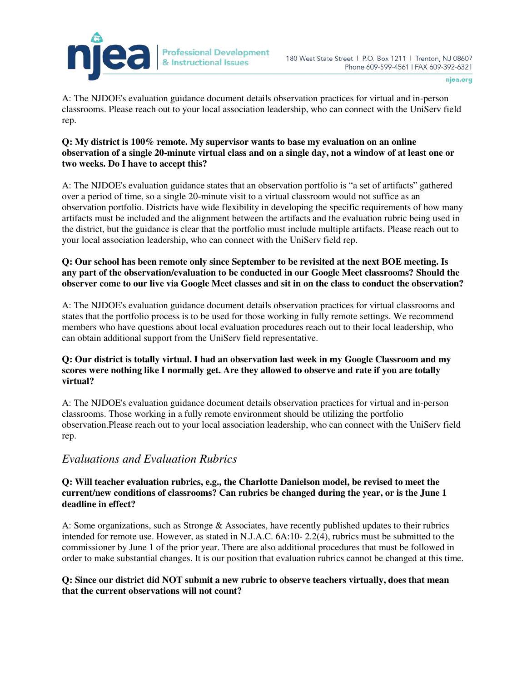

A: The NJDOE's evaluation guidance document details observation practices for virtual and in-person classrooms. Please reach out to your local association leadership, who can connect with the UniServ field rep.

**Professional Development** 

& Instructional Issues

### **Q: My district is 100% remote. My supervisor wants to base my evaluation on an online observation of a single 20-minute virtual class and on a single day, not a window of at least one or two weeks. Do I have to accept this?**

A: The NJDOE's evaluation guidance states that an observation portfolio is "a set of artifacts" gathered over a period of time, so a single 20-minute visit to a virtual classroom would not suffice as an observation portfolio. Districts have wide flexibility in developing the specific requirements of how many artifacts must be included and the alignment between the artifacts and the evaluation rubric being used in the district, but the guidance is clear that the portfolio must include multiple artifacts. Please reach out to your local association leadership, who can connect with the UniServ field rep.

### **Q: Our school has been remote only since September to be revisited at the next BOE meeting. Is any part of the observation/evaluation to be conducted in our Google Meet classrooms? Should the observer come to our live via Google Meet classes and sit in on the class to conduct the observation?**

A: The NJDOE's evaluation guidance document details observation practices for virtual classrooms and states that the portfolio process is to be used for those working in fully remote settings. We recommend members who have questions about local evaluation procedures reach out to their local leadership, who can obtain additional support from the UniServ field representative.

## **Q: Our district is totally virtual. I had an observation last week in my Google Classroom and my scores were nothing like I normally get. Are they allowed to observe and rate if you are totally virtual?**

A: The NJDOE's evaluation guidance document details observation practices for virtual and in-person classrooms. Those working in a fully remote environment should be utilizing the portfolio observation.Please reach out to your local association leadership, who can connect with the UniServ field rep.

# *Evaluations and Evaluation Rubrics*

### **Q: Will teacher evaluation rubrics, e.g., the Charlotte Danielson model, be revised to meet the current/new conditions of classrooms? Can rubrics be changed during the year, or is the June 1 deadline in effect?**

A: Some organizations, such as Stronge & Associates, have recently published updates to their rubrics intended for remote use. However, as stated in N.J.A.C. 6A:10- 2.2(4), rubrics must be submitted to the commissioner by June 1 of the prior year. There are also additional procedures that must be followed in order to make substantial changes. It is our position that evaluation rubrics cannot be changed at this time.

### **Q: Since our district did NOT submit a new rubric to observe teachers virtually, does that mean that the current observations will not count?**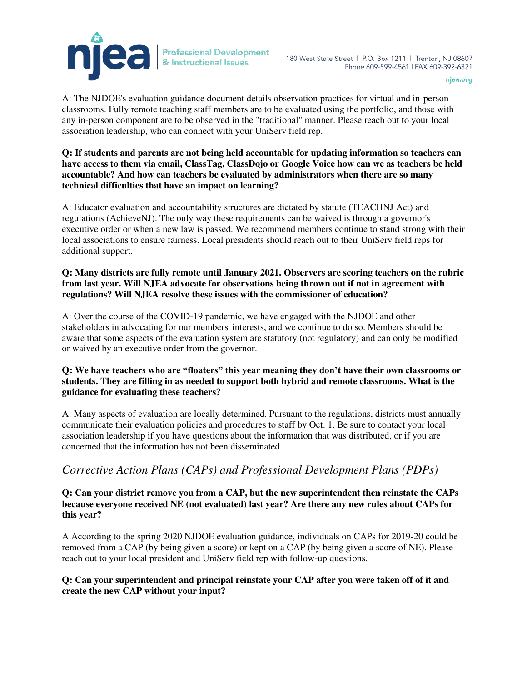

A: The NJDOE's evaluation guidance document details observation practices for virtual and in-person classrooms. Fully remote teaching staff members are to be evaluated using the portfolio, and those with any in-person component are to be observed in the "traditional" manner. Please reach out to your local association leadership, who can connect with your UniServ field rep.

### **Q: If students and parents are not being held accountable for updating information so teachers can have access to them via email, ClassTag, ClassDojo or Google Voice how can we as teachers be held accountable? And how can teachers be evaluated by administrators when there are so many technical difficulties that have an impact on learning?**

A: Educator evaluation and accountability structures are dictated by statute (TEACHNJ Act) and regulations (AchieveNJ). The only way these requirements can be waived is through a governor's executive order or when a new law is passed. We recommend members continue to stand strong with their local associations to ensure fairness. Local presidents should reach out to their UniServ field reps for additional support.

### **Q: Many districts are fully remote until January 2021. Observers are scoring teachers on the rubric from last year. Will NJEA advocate for observations being thrown out if not in agreement with regulations? Will NJEA resolve these issues with the commissioner of education?**

A: Over the course of the COVID-19 pandemic, we have engaged with the NJDOE and other stakeholders in advocating for our members' interests, and we continue to do so. Members should be aware that some aspects of the evaluation system are statutory (not regulatory) and can only be modified or waived by an executive order from the governor.

## **Q: We have teachers who are "floaters" this year meaning they don't have their own classrooms or students. They are filling in as needed to support both hybrid and remote classrooms. What is the guidance for evaluating these teachers?**

A: Many aspects of evaluation are locally determined. Pursuant to the regulations, districts must annually communicate their evaluation policies and procedures to staff by Oct. 1. Be sure to contact your local association leadership if you have questions about the information that was distributed, or if you are concerned that the information has not been disseminated.

# *Corrective Action Plans (CAPs) and Professional Development Plans (PDPs)*

### **Q: Can your district remove you from a CAP, but the new superintendent then reinstate the CAPs because everyone received NE (not evaluated) last year? Are there any new rules about CAPs for this year?**

A According to the spring 2020 NJDOE evaluation guidance, individuals on CAPs for 2019-20 could be removed from a CAP (by being given a score) or kept on a CAP (by being given a score of NE). Please reach out to your local president and UniServ field rep with follow-up questions.

### **Q: Can your superintendent and principal reinstate your CAP after you were taken off of it and create the new CAP without your input?**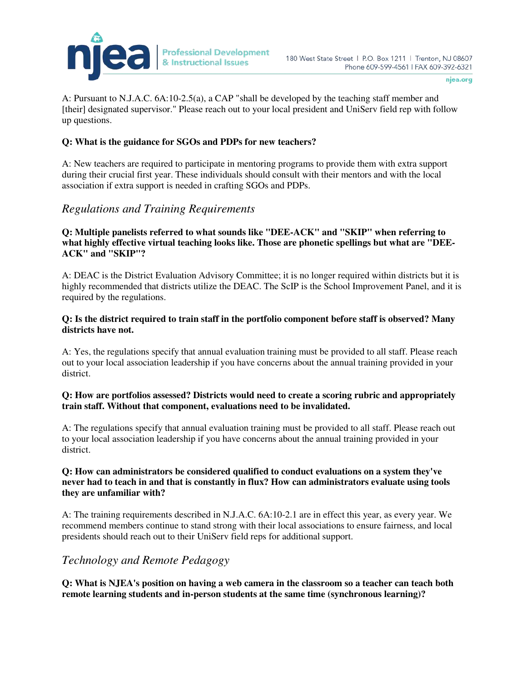

A: Pursuant to N.J.A.C. 6A:10-2.5(a), a CAP "shall be developed by the teaching staff member and [their] designated supervisor." Please reach out to your local president and UniServ field rep with follow up questions.

### **Q: What is the guidance for SGOs and PDPs for new teachers?**

A: New teachers are required to participate in mentoring programs to provide them with extra support during their crucial first year. These individuals should consult with their mentors and with the local association if extra support is needed in crafting SGOs and PDPs.

# *Regulations and Training Requirements*

### **Q: Multiple panelists referred to what sounds like "DEE-ACK" and "SKIP" when referring to what highly effective virtual teaching looks like. Those are phonetic spellings but what are "DEE-ACK" and "SKIP"?**

A: DEAC is the District Evaluation Advisory Committee; it is no longer required within districts but it is highly recommended that districts utilize the DEAC. The ScIP is the School Improvement Panel, and it is required by the regulations.

### **Q: Is the district required to train staff in the portfolio component before staff is observed? Many districts have not.**

A: Yes, the regulations specify that annual evaluation training must be provided to all staff. Please reach out to your local association leadership if you have concerns about the annual training provided in your district.

### **Q: How are portfolios assessed? Districts would need to create a scoring rubric and appropriately train staff. Without that component, evaluations need to be invalidated.**

A: The regulations specify that annual evaluation training must be provided to all staff. Please reach out to your local association leadership if you have concerns about the annual training provided in your district.

#### **Q: How can administrators be considered qualified to conduct evaluations on a system they've never had to teach in and that is constantly in flux? How can administrators evaluate using tools they are unfamiliar with?**

A: The training requirements described in N.J.A.C. 6A:10-2.1 are in effect this year, as every year. We recommend members continue to stand strong with their local associations to ensure fairness, and local presidents should reach out to their UniServ field reps for additional support.

# *Technology and Remote Pedagogy*

**Q: What is NJEA's position on having a web camera in the classroom so a teacher can teach both remote learning students and in-person students at the same time (synchronous learning)?**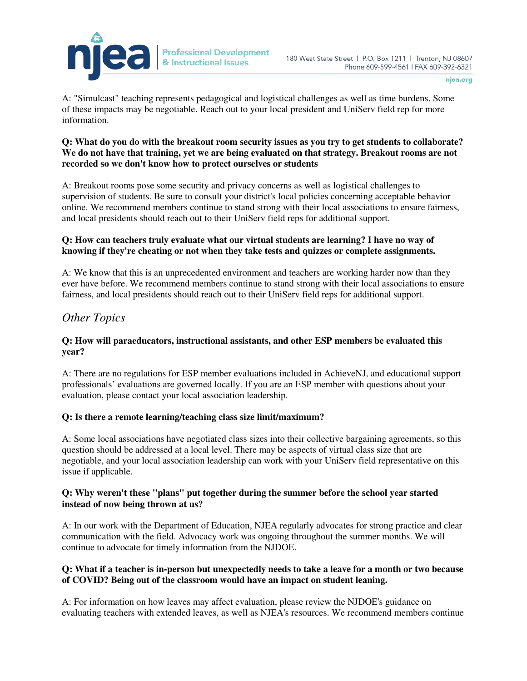

A: "Simulcast" teaching represents pedagogical and logistical challenges as well as time burdens. Some of these impacts may be negotiable. Reach out to your local president and UniServ field rep for more information.

**Professional Development** 

& Instructional Issues

### **Q: What do you do with the breakout room security issues as you try to get students to collaborate? We do not have that training, yet we are being evaluated on that strategy. Breakout rooms are not recorded so we don't know how to protect ourselves or students**

A: Breakout rooms pose some security and privacy concerns as well as logistical challenges to supervision of students. Be sure to consult your district's local policies concerning acceptable behavior online. We recommend members continue to stand strong with their local associations to ensure fairness, and local presidents should reach out to their UniServ field reps for additional support.

### **Q: How can teachers truly evaluate what our virtual students are learning? I have no way of knowing if they're cheating or not when they take tests and quizzes or complete assignments.**

A: We know that this is an unprecedented environment and teachers are working harder now than they ever have before. We recommend members continue to stand strong with their local associations to ensure fairness, and local presidents should reach out to their UniServ field reps for additional support.

# *Other Topics*

### **Q: How will paraeducators, instructional assistants, and other ESP members be evaluated this year?**

A: There are no regulations for ESP member evaluations included in AchieveNJ, and educational support professionals' evaluations are governed locally. If you are an ESP member with questions about your evaluation, please contact your local association leadership.

# **Q: Is there a remote learning/teaching class size limit/maximum?**

A: Some local associations have negotiated class sizes into their collective bargaining agreements, so this question should be addressed at a local level. There may be aspects of virtual class size that are negotiable, and your local association leadership can work with your UniServ field representative on this issue if applicable.

### **Q: Why weren't these "plans" put together during the summer before the school year started instead of now being thrown at us?**

A: In our work with the Department of Education, NJEA regularly advocates for strong practice and clear communication with the field. Advocacy work was ongoing throughout the summer months. We will continue to advocate for timely information from the NJDOE.

### **Q: What if a teacher is in-person but unexpectedly needs to take a leave for a month or two because of COVID? Being out of the classroom would have an impact on student leaning.**

A: For information on how leaves may affect evaluation, please review the NJDOE's guidance on evaluating teachers with extended leaves, as well as NJEA's resources. We recommend members continue